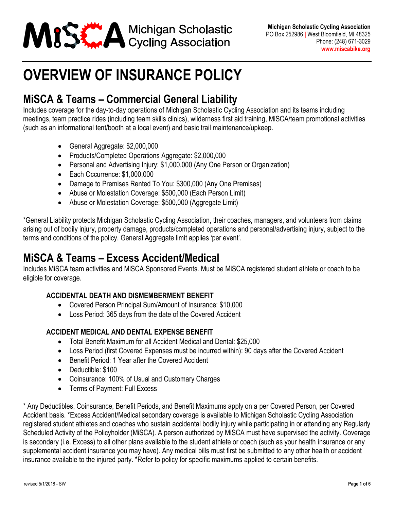

## **OVERVIEW OF INSURANCE POLICY**

### **MiSCA & Teams – Commercial General Liability**

Includes coverage for the day-to-day operations of Michigan Scholastic Cycling Association and its teams including meetings, team practice rides (including team skills clinics), wilderness first aid training, MiSCA/team promotional activities (such as an informational tent/booth at a local event) and basic trail maintenance/upkeep.

- General Aggregate: \$2,000,000
- Products/Completed Operations Aggregate: \$2,000,000
- Personal and Advertising Injury: \$1,000,000 (Any One Person or Organization)
- Each Occurrence: \$1,000,000
- Damage to Premises Rented To You: \$300,000 (Any One Premises)
- Abuse or Molestation Coverage: \$500,000 (Each Person Limit)
- Abuse or Molestation Coverage: \$500,000 (Aggregate Limit)

\*General Liability protects Michigan Scholastic Cycling Association, their coaches, managers, and volunteers from claims arising out of bodily injury, property damage, products/completed operations and personal/advertising injury, subject to the terms and conditions of the policy. General Aggregate limit applies 'per event'.

### **MiSCA & Teams – Excess Accident/Medical**

Includes MiSCA team activities and MiSCA Sponsored Events. Must be MiSCA registered student athlete or coach to be eligible for coverage.

#### **ACCIDENTAL DEATH AND DISMEMBERMENT BENEFIT**

- Covered Person Principal Sum/Amount of Insurance: \$10,000
- Loss Period: 365 days from the date of the Covered Accident

#### **ACCIDENT MEDICAL AND DENTAL EXPENSE BENEFIT**

- Total Benefit Maximum for all Accident Medical and Dental: \$25,000
- Loss Period (first Covered Expenses must be incurred within): 90 days after the Covered Accident
- Benefit Period: 1 Year after the Covered Accident
- Deductible: \$100
- Coinsurance: 100% of Usual and Customary Charges
- Terms of Payment: Full Excess

\* Any Deductibles, Coinsurance, Benefit Periods, and Benefit Maximums apply on a per Covered Person, per Covered Accident basis. \*Excess Accident/Medical secondary coverage is available to Michigan Scholastic Cycling Association registered student athletes and coaches who sustain accidental bodily injury while participating in or attending any Regularly Scheduled Activity of the Policyholder (MiSCA). A person authorized by MiSCA must have supervised the activity. Coverage is secondary (i.e. Excess) to all other plans available to the student athlete or coach (such as your health insurance or any supplemental accident insurance you may have). Any medical bills must first be submitted to any other health or accident insurance available to the injured party. \*Refer to policy for specific maximums applied to certain benefits.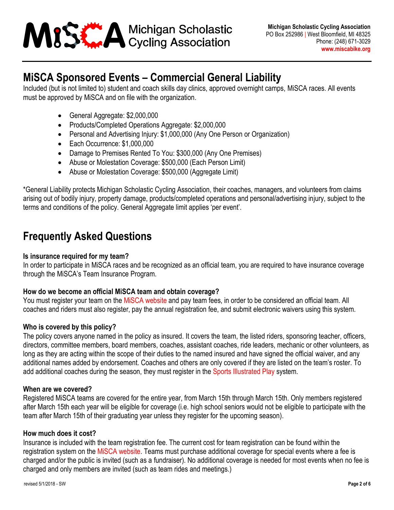

### **MiSCA Sponsored Events – Commercial General Liability**

Included (but is not limited to) student and coach skills day clinics, approved overnight camps, MiSCA races. All events must be approved by MiSCA and on file with the organization.

- General Aggregate: \$2,000,000
- Products/Completed Operations Aggregate: \$2,000,000
- Personal and Advertising Injury: \$1,000,000 (Any One Person or Organization)
- Each Occurrence: \$1,000,000
- Damage to Premises Rented To You: \$300,000 (Any One Premises)
- Abuse or Molestation Coverage: \$500,000 (Each Person Limit)
- Abuse or Molestation Coverage: \$500,000 (Aggregate Limit)

\*General Liability protects Michigan Scholastic Cycling Association, their coaches, managers, and volunteers from claims arising out of bodily injury, property damage, products/completed operations and personal/advertising injury, subject to the terms and conditions of the policy. General Aggregate limit applies 'per event'.

### **Frequently Asked Questions**

#### **Is insurance required for my team?**

In order to participate in MiSCA races and be recognized as an official team, you are required to have insurance coverage through the MiSCA's Team Insurance Program.

#### **How do we become an official MiSCA team and obtain coverage?**

You must register your team on the MISCA [website](http://www.miscabike.org/register) and pay team fees, in order to be considered an official team. All coaches and riders must also register, pay the annual registration fee, and submit electronic waivers using this system.

#### **Who is covered by this policy?**

The policy covers anyone named in the policy as insured. It covers the team, the listed riders, sponsoring teacher, officers, directors, committee members, board members, coaches, assistant coaches, ride leaders, mechanic or other volunteers, as long as they are acting within the scope of their duties to the named insured and have signed the official waiver, and any additional names added by endorsement. Coaches and others are only covered if they are listed on the team's roster. To add additional coaches during the season, they must register in the [Sports Illustrated Play](http://www.miscabike.org/register) system.

#### **When are we covered?**

Registered MiSCA teams are covered for the entire year, from March 15th through March 15th. Only members registered after March 15th each year will be eligible for coverage (i.e. high school seniors would not be eligible to participate with the team after March 15th of their graduating year unless they register for the upcoming season).

#### **How much does it cost?**

Insurance is included with the team registration fee. The current cost for team registration can be found within the registration system on the MiSCA [website.](http://www.miscabike.org/register) Teams must purchase additional coverage for special events where a fee is charged and/or the public is invited (such as a fundraiser). No additional coverage is needed for most events when no fee is charged and only members are invited (such as team rides and meetings.)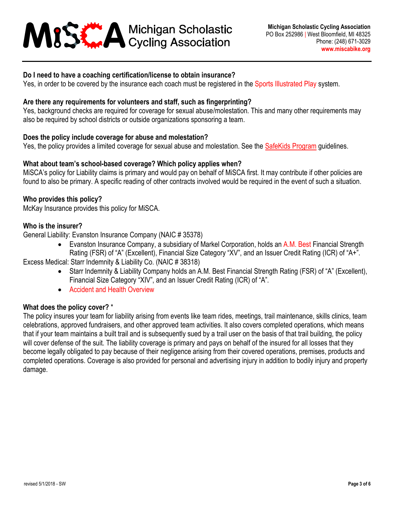## **ABS A Michigan Scholastic**<br>Cycling Association

#### **Do I need to have a coaching certification/license to obtain insurance?**

Yes, in order to be covered by the insurance each coach must be registered in the [Sports Illustrated Play](http://www.miscabike.org/register) system.

#### **Are there any requirements for volunteers and staff, such as fingerprinting?**

Yes, background checks are required for coverage for sexual abuse/molestation. This and many other requirements may also be required by school districts or outside organizations sponsoring a team.

#### **Does the policy include coverage for abuse and molestation?**

Yes, the policy provides a limited coverage for sexual abuse and molestation. See the [SafeKids Program](http://miscabike.org/coach/SafeKidsPolicy.pdf) guidelines.

#### **What about team's school-based coverage? Which policy applies when?**

MiSCA's policy for Liability claims is primary and would pay on behalf of MiSCA first. It may contribute if other policies are found to also be primary. A specific reading of other contracts involved would be required in the event of such a situation.

#### **Who provides this policy?**

McKay Insurance provides this policy for MiSCA.

#### **Who is the insurer?**

General Liability: Evanston Insurance Company (NAIC # 35378)

• Evanston Insurance Company, a subsidiary of Markel Corporation, holds a[n A.M. Best](http://ratings.ambest.com/CompanyProfile.aspx?ambnum=3759&AltNum=14573759) Financial Strength Rating (FSR) of "A" (Excellent), Financial Size Category "XV", and an Issuer Credit Rating (ICR) of "A+".

Excess Medical: Starr Indemnity & Liability Co. (NAIC # 38318)

- Starr Indemnity & Liability Company holds an A.M. Best Financial Strength Rating (FSR) of "A" (Excellent), Financial Size Category "XIV", and an Issuer Credit Rating (ICR) of "A".
- [Accident and Health Overview](http://www.starrcompanies.com/insurance/ahoverview)

#### **What does the policy cover?** \*

The policy insures your team for liability arising from events like team rides, meetings, trail maintenance, skills clinics, team celebrations, approved fundraisers, and other approved team activities. It also covers completed operations, which means that if your team maintains a built trail and is subsequently sued by a trail user on the basis of that trail building, the policy will cover defense of the suit. The liability coverage is primary and pays on behalf of the insured for all losses that they become legally obligated to pay because of their negligence arising from their covered operations, premises, products and completed operations. Coverage is also provided for personal and advertising injury in addition to bodily injury and property damage.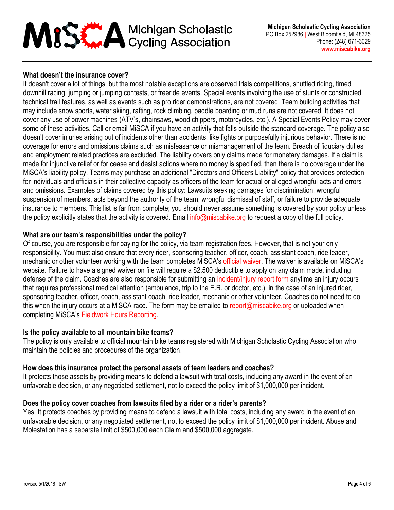# MISS A Michigan Scholastic

#### **What doesn't the insurance cover?**

It doesn't cover a lot of things, but the most notable exceptions are observed trials competitions, shuttled riding, timed downhill racing, jumping or jumping contests, or freeride events. Special events involving the use of stunts or constructed technical trail features, as well as events such as pro rider demonstrations, are not covered. Team building activities that may include snow sports, water skiing, rafting, rock climbing, paddle boarding or mud runs are not covered. It does not cover any use of power machines (ATV's, chainsaws, wood chippers, motorcycles, etc.). A Special Events Policy may cover some of these activities. Call or email MiSCA if you have an activity that falls outside the standard coverage. The policy also doesn't cover injuries arising out of incidents other than accidents, like fights or purposefully injurious behavior. There is no coverage for errors and omissions claims such as misfeasance or mismanagement of the team. Breach of fiduciary duties and employment related practices are excluded. The liability covers only claims made for monetary damages. If a claim is made for injunctive relief or for cease and desist actions where no money is specified, then there is no coverage under the MiSCA's liability policy. Teams may purchase an additional "Directors and Officers Liability" policy that provides protection for individuals and officials in their collective capacity as officers of the team for actual or alleged wrongful acts and errors and omissions. Examples of claims covered by this policy: Lawsuits seeking damages for discrimination, wrongful suspension of members, acts beyond the authority of the team, wrongful dismissal of staff, or failure to provide adequate insurance to members. This list is far from complete; you should never assume something is covered by your policy unless the policy explicitly states that the activity is covered. Email [info@miscabike.org](mailto:info@miscabike.org) to request a copy of the full policy.

#### **What are our team's responsibilities under the policy?**

Of course, you are responsible for paying for the policy, via team registration fees. However, that is not your only responsibility. You must also ensure that every rider, sponsoring teacher, officer, coach, assistant coach, ride leader, mechanic or other volunteer working with the team completes MiSCA's [official waiver.](http://miscabike.org/forms/Form_ParticipationAgreement_WaiverReleaseofLiability.pdf) The waiver is available on MiSCA's website. Failure to have a signed waiver on file will require a \$2,500 deductible to apply on any claim made, including defense of the claim. Coaches are also responsible for submitting an [incident/injury](http://miscabike.org/coach/Form_IncidentReporting.pdf) report form anytime an injury occurs that requires professional medical attention (ambulance, trip to the E.R. or doctor, etc.), in the case of an injured rider, sponsoring teacher, officer, coach, assistant coach, ride leader, mechanic or other volunteer. Coaches do not need to do this when the injury occurs at a MiSCA race. The form may be emailed to [report@miscabike.org](mailto:report@miscabike.org) or uploaded when completing MiSCA's Fieldwork Hours [Reporting.](http://miscabike.org/coach/fieldwork-hours-reporting/)

#### **Is the policy available to all mountain bike teams?**

The policy is only available to official mountain bike teams registered with Michigan Scholastic Cycling Association who maintain the policies and procedures of the organization.

#### **How does this insurance protect the personal assets of team leaders and coaches?**

It protects those assets by providing means to defend a lawsuit with total costs, including any award in the event of an unfavorable decision, or any negotiated settlement, not to exceed the policy limit of \$1,000,000 per incident.

#### **Does the policy cover coaches from lawsuits filed by a rider or a rider's parents?**

Yes. It protects coaches by providing means to defend a lawsuit with total costs, including any award in the event of an unfavorable decision, or any negotiated settlement, not to exceed the policy limit of \$1,000,000 per incident. Abuse and Molestation has a separate limit of \$500,000 each Claim and \$500,000 aggregate.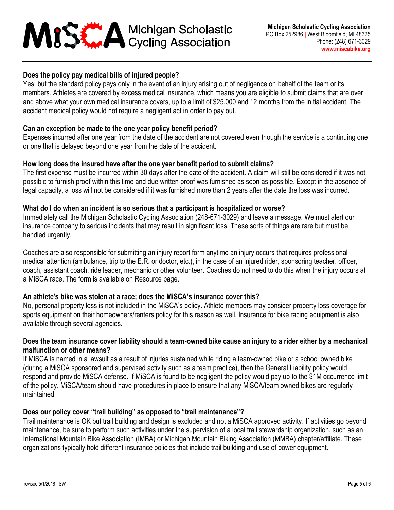## MISE A Michigan Scholastic

#### **Does the policy pay medical bills of injured people?**

Yes, but the standard policy pays only in the event of an injury arising out of negligence on behalf of the team or its members. Athletes are covered by excess medical insurance, which means you are eligible to submit claims that are over and above what your own medical insurance covers, up to a limit of \$25,000 and 12 months from the initial accident. The accident medical policy would not require a negligent act in order to pay out.

#### **Can an exception be made to the one year policy benefit period?**

Expenses incurred after one year from the date of the accident are not covered even though the service is a continuing one or one that is delayed beyond one year from the date of the accident.

#### **How long does the insured have after the one year benefit period to submit claims?**

The first expense must be incurred within 30 days after the date of the accident. A claim will still be considered if it was not possible to furnish proof within this time and due written proof was furnished as soon as possible. Except in the absence of legal capacity, a loss will not be considered if it was furnished more than 2 years after the date the loss was incurred.

#### **What do I do when an incident is so serious that a participant is hospitalized or worse?**

Immediately call the Michigan Scholastic Cycling Association (248-671-3029) and leave a message. We must alert our insurance company to serious incidents that may result in significant loss. These sorts of things are rare but must be handled urgently.

Coaches are also responsible for submitting an injury report form anytime an injury occurs that requires professional medical attention (ambulance, trip to the E.R. or doctor, etc.), in the case of an injured rider, sponsoring teacher, officer, coach, assistant coach, ride leader, mechanic or other volunteer. Coaches do not need to do this when the injury occurs at a MiSCA race. The form is available on Resource page.

#### **An athlete's bike was stolen at a race; does the MiSCA's insurance cover this?**

No, personal property loss is not included in the MiSCA's policy. Athlete members may consider property loss coverage for sports equipment on their homeowners/renters policy for this reason as well. Insurance for bike racing equipment is also available through several agencies.

#### **Does the team insurance cover liability should a team-owned bike cause an injury to a rider either by a mechanical malfunction or other means?**

If MiSCA is named in a lawsuit as a result of injuries sustained while riding a team-owned bike or a school owned bike (during a MiSCA sponsored and supervised activity such as a team practice), then the General Liability policy would respond and provide MiSCA defense. If MiSCA is found to be negligent the policy would pay up to the \$1M occurrence limit of the policy. MiSCA/team should have procedures in place to ensure that any MiSCA/team owned bikes are regularly maintained.

#### **Does our policy cover "trail building" as opposed to "trail maintenance"?**

Trail maintenance is OK but trail building and design is excluded and not a MiSCA approved activity. If activities go beyond maintenance, be sure to perform such activities under the supervision of a local trail stewardship organization, such as an International Mountain Bike Association (IMBA) or Michigan Mountain Biking Association (MMBA) chapter/affiliate. These organizations typically hold different insurance policies that include trail building and use of power equipment.